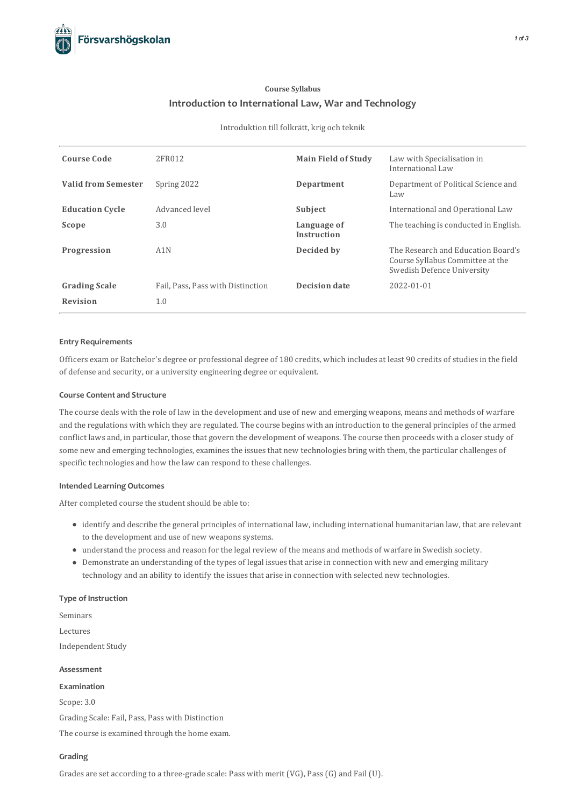# **Course Syllabus Introduction to International Law, Warand Technology**

#### Introduktion till folkrätt, krig och teknik

| <b>Course Code</b>         | 2FR012                            | <b>Main Field of Study</b>        | Law with Specialisation in<br>International Law                                                      |
|----------------------------|-----------------------------------|-----------------------------------|------------------------------------------------------------------------------------------------------|
| <b>Valid from Semester</b> | Spring 2022                       | Department                        | Department of Political Science and<br>Law                                                           |
| <b>Education Cycle</b>     | Advanced level                    | Subject                           | International and Operational Law                                                                    |
| Scope                      | 3.0                               | Language of<br><b>Instruction</b> | The teaching is conducted in English.                                                                |
| Progression                | A1N                               | Decided by                        | The Research and Education Board's<br>Course Syllabus Committee at the<br>Swedish Defence University |
| <b>Grading Scale</b>       | Fail, Pass, Pass with Distinction | Decision date                     | 2022-01-01                                                                                           |
| <b>Revision</b>            | 1.0                               |                                   |                                                                                                      |

# **Entry Requirements**

Officers exam or Batchelor's degree or professional degree of 180 credits, which includes at least 90 credits of studiesin the field of defense and security, or a university engineering degree or equivalent.

# **Course Contentand Structure**

The course deals with the role of law in the development and use of new and emerging weapons, means and methods of warfare and the regulations with which they are regulated. The course begins with an introduction to the general principles of the armed conflict laws and, in particular, those that govern the development of weapons. The course then proceeds with a closer study of some new and emerging technologies, examines the issues that new technologies bring with them, the particular challenges of specific technologies and how the law can respond to these challenges.

#### **Intended Learning Outcomes**

After completed course the student should be able to:

- identify and describe the general principles of international law, including international humanitarian law, that are relevant to the development and use of new weapons systems.
- understand the process and reason for the legal review of the means and methods of warfare in Swedish society.
- Demonstrate an understanding of the types of legal issuesthat arise in connection with new and emerging military technology and an ability to identify the issues that arise in connection with selected new technologies.

# **Type of Instruction**

Seminars Lectures Independent Study **Assessment**

**Examination** Scope: 3.0 Grading Scale: Fail, Pass, Pass with Distinction The course is examined through the home exam.

# **Grading**

Grades are set according to a three-grade scale: Pass with merit (VG), Pass(G) and Fail (U).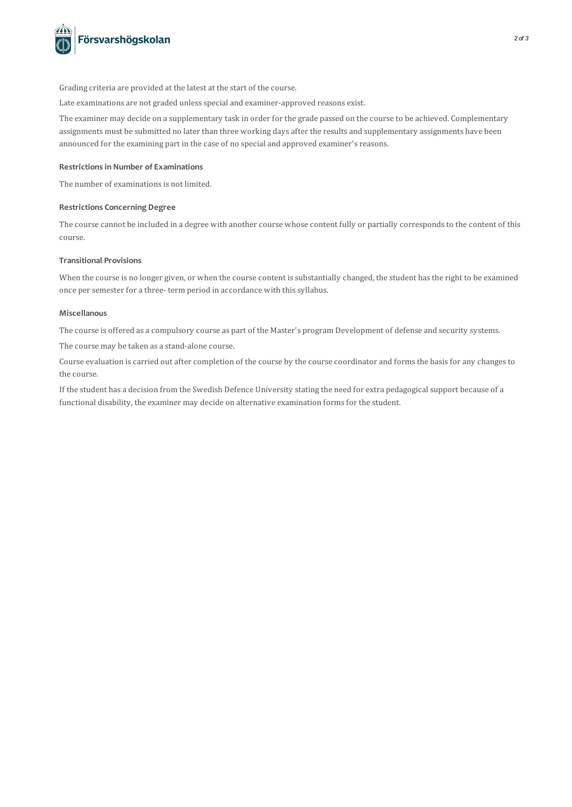

Grading criteria are provided at the latest at the start of the course.

Late examinations are not graded unless special and examiner-approved reasons exist.

The examiner may decide on a supplementary task in order for the grade passed on the course to be achieved. Complementary assignments must be submitted no later than three working days after the results and supplementary assignments have been announced for the examining part in the case of no special and approved examiner's reasons.

# **Restrictionsin Number of Examinations**

The number of examinations is not limited.

# **Restrictions Concerning Degree**

The course cannot be included in a degree with another course whose content fully or partially corresponds to the content of this course.

# **Transitional Provisions**

When the course is no longer given, or when the course content is substantially changed, the student has the right to be examined once per semester for a three- term period in accordance with this syllabus.

# **Miscellanous**

The course is offered as a compulsory course as part of the Master's program Development of defense and security systems.

The course may be taken as a stand-alone course.

Course evaluation iscarried out aftercompletion of the course by the course coordinator and formsthe basisfor any changesto the course.

If the student has a decision from the Swedish Defence University stating the need for extra pedagogicalsupport because of a functional disability, the examiner may decide on alternative examination forms for the student.